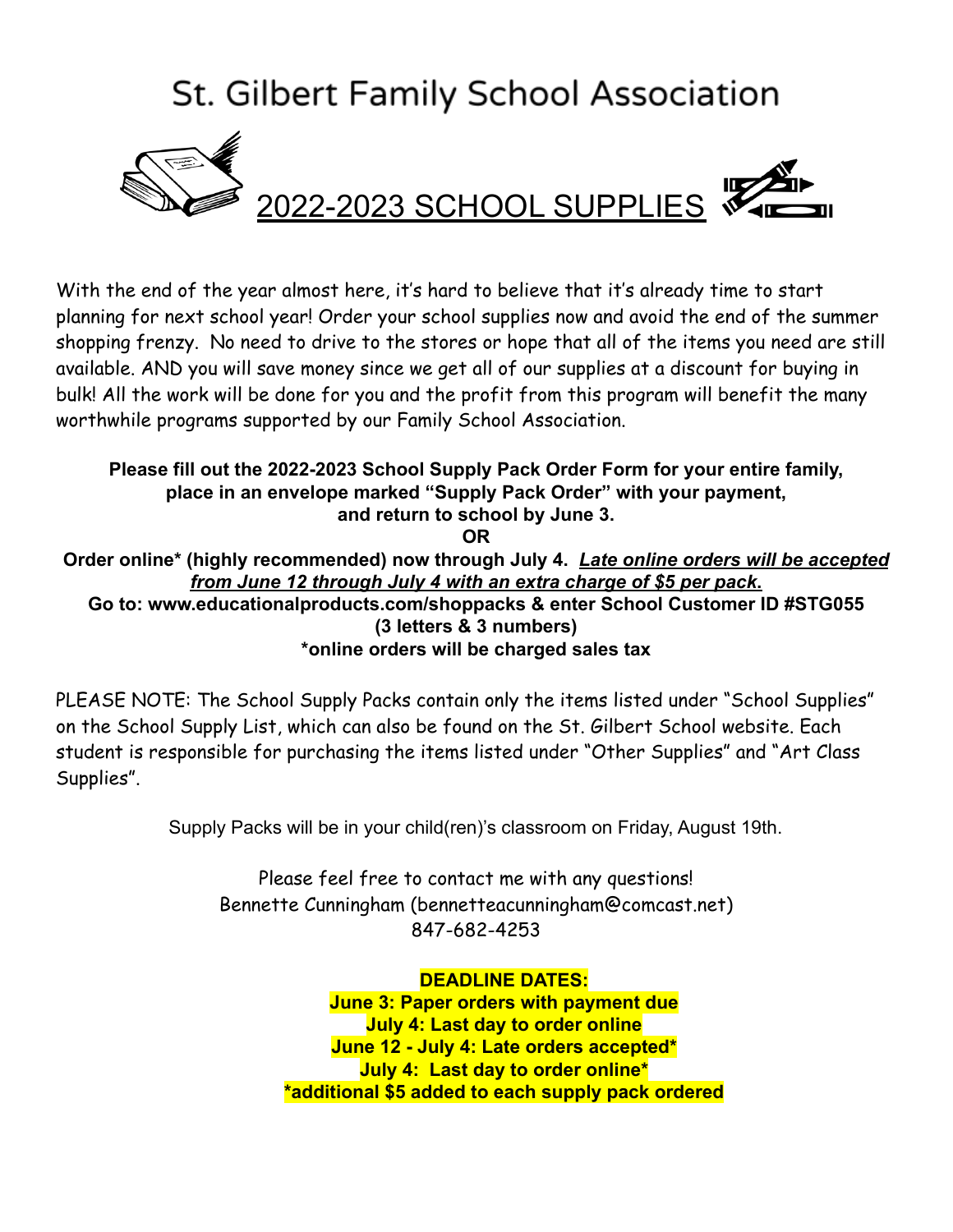## **St. Gilbert Family School Association**



## 2022-2023 SCHOOL SUPPLIES

With the end of the year almost here, it's hard to believe that it's already time to start planning for next school year! Order your school supplies now and avoid the end of the summer shopping frenzy. No need to drive to the stores or hope that all of the items you need are still available. AND you will save money since we get all of our supplies at a discount for buying in bulk! All the work will be done for you and the profit from this program will benefit the many worthwhile programs supported by our Family School Association.

**Please fill out the 2022-2023 School Supply Pack Order Form for your entire family, place in an envelope marked "Supply Pack Order" with your payment, and return to school by June 3. OR Order online\* (highly recommended) now through July 4.** *Late online orders will be accepted from June 12 through July 4 with an extra charge of \$5 per pack***. Go to: [www.educationalproducts.com/](http://www.educationalproducts.com/shoppacks)shoppacks & enter School Customer ID #STG055 (3 letters & 3 numbers) \*online orders will be charged sales tax**

PLEASE NOTE: The School Supply Packs contain only the items listed under "School Supplies" on the School Supply List, which can also be found on the St. Gilbert School website. Each student is responsible for purchasing the items listed under "Other Supplies" and "Art Class Supplies".

Supply Packs will be in your child(ren)'s classroom on Friday, August 19th.

Please feel free to contact me with any questions! Bennette Cunningham [\(bennetteacunningham@comcast.net\)](mailto:bennetteacunningham@comcast.net) 847-682-4253

> **DEADLINE DATES: June 3: Paper orders with payment due July 4: Last day to order online June 12 - July 4: Late orders accepted\* July 4: Last day to order online\* \*additional \$5 added to each supply pack ordered**